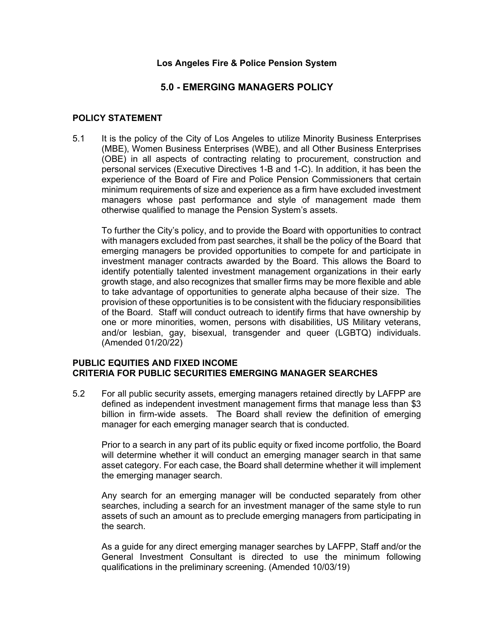### **Los Angeles Fire & Police Pension System**

# **5.0 - EMERGING MANAGERS POLICY**

### **POLICY STATEMENT**

5.1 It is the policy of the City of Los Angeles to utilize Minority Business Enterprises (MBE), Women Business Enterprises (WBE), and all Other Business Enterprises (OBE) in all aspects of contracting relating to procurement, construction and personal services (Executive Directives 1-B and 1-C). In addition, it has been the experience of the Board of Fire and Police Pension Commissioners that certain minimum requirements of size and experience as a firm have excluded investment managers whose past performance and style of management made them otherwise qualified to manage the Pension System's assets.

To further the City's policy, and to provide the Board with opportunities to contract with managers excluded from past searches, it shall be the policy of the Board that emerging managers be provided opportunities to compete for and participate in investment manager contracts awarded by the Board. This allows the Board to identify potentially talented investment management organizations in their early growth stage, and also recognizes that smaller firms may be more flexible and able to take advantage of opportunities to generate alpha because of their size. The provision of these opportunities is to be consistent with the fiduciary responsibilities of the Board. Staff will conduct outreach to identify firms that have ownership by one or more minorities, women, persons with disabilities, US Military veterans, and/or lesbian, gay, bisexual, transgender and queer (LGBTQ) individuals. (Amended 01/20/22)

#### **PUBLIC EQUITIES AND FIXED INCOME CRITERIA FOR PUBLIC SECURITIES EMERGING MANAGER SEARCHES**

5.2 For all public security assets, emerging managers retained directly by LAFPP are defined as independent investment management firms that manage less than \$3 billion in firm-wide assets. The Board shall review the definition of emerging manager for each emerging manager search that is conducted.

Prior to a search in any part of its public equity or fixed income portfolio, the Board will determine whether it will conduct an emerging manager search in that same asset category. For each case, the Board shall determine whether it will implement the emerging manager search.

Any search for an emerging manager will be conducted separately from other searches, including a search for an investment manager of the same style to run assets of such an amount as to preclude emerging managers from participating in the search.

As a guide for any direct emerging manager searches by LAFPP, Staff and/or the General Investment Consultant is directed to use the minimum following qualifications in the preliminary screening. (Amended 10/03/19)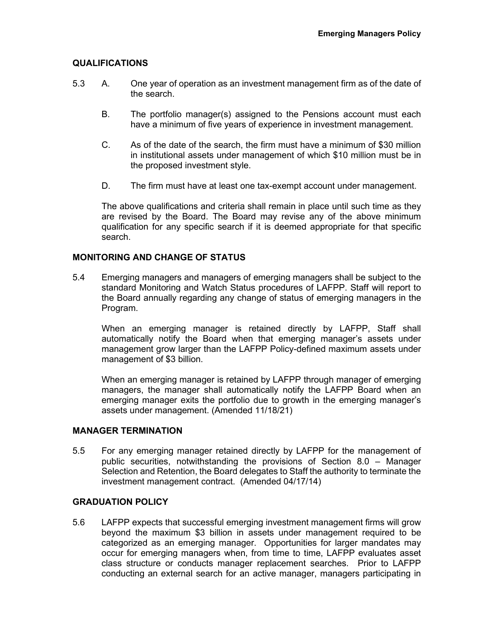# **QUALIFICATIONS**

- 5.3 A. One year of operation as an investment management firm as of the date of the search.
	- B. The portfolio manager(s) assigned to the Pensions account must each have a minimum of five years of experience in investment management.
	- C. As of the date of the search, the firm must have a minimum of \$30 million in institutional assets under management of which \$10 million must be in the proposed investment style.
	- D. The firm must have at least one tax-exempt account under management.

The above qualifications and criteria shall remain in place until such time as they are revised by the Board. The Board may revise any of the above minimum qualification for any specific search if it is deemed appropriate for that specific search.

# **MONITORING AND CHANGE OF STATUS**

5.4 Emerging managers and managers of emerging managers shall be subject to the standard Monitoring and Watch Status procedures of LAFPP. Staff will report to the Board annually regarding any change of status of emerging managers in the Program.

When an emerging manager is retained directly by LAFPP, Staff shall automatically notify the Board when that emerging manager's assets under management grow larger than the LAFPP Policy-defined maximum assets under management of \$3 billion.

When an emerging manager is retained by LAFPP through manager of emerging managers, the manager shall automatically notify the LAFPP Board when an emerging manager exits the portfolio due to growth in the emerging manager's assets under management. (Amended 11/18/21)

#### **MANAGER TERMINATION**

5.5 For any emerging manager retained directly by LAFPP for the management of public securities, notwithstanding the provisions of Section 8.0 – Manager Selection and Retention, the Board delegates to Staff the authority to terminate the investment management contract. (Amended 04/17/14)

# **GRADUATION POLICY**

5.6 LAFPP expects that successful emerging investment management firms will grow beyond the maximum \$3 billion in assets under management required to be categorized as an emerging manager. Opportunities for larger mandates may occur for emerging managers when, from time to time, LAFPP evaluates asset class structure or conducts manager replacement searches. Prior to LAFPP conducting an external search for an active manager, managers participating in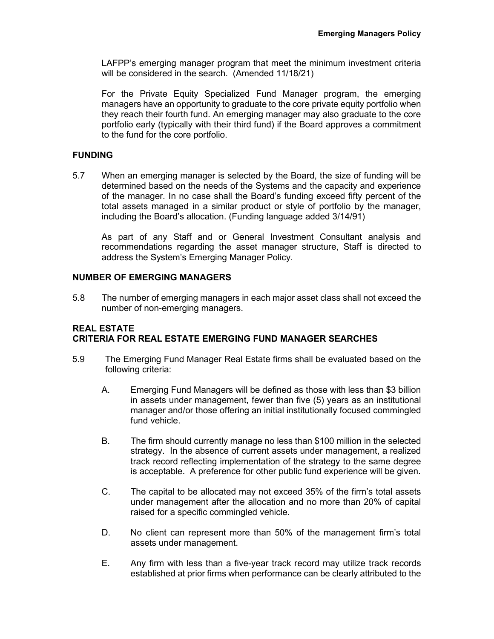LAFPP's emerging manager program that meet the minimum investment criteria will be considered in the search. (Amended 11/18/21)

For the Private Equity Specialized Fund Manager program, the emerging managers have an opportunity to graduate to the core private equity portfolio when they reach their fourth fund. An emerging manager may also graduate to the core portfolio early (typically with their third fund) if the Board approves a commitment to the fund for the core portfolio.

# **FUNDING**

5.7 When an emerging manager is selected by the Board, the size of funding will be determined based on the needs of the Systems and the capacity and experience of the manager. In no case shall the Board's funding exceed fifty percent of the total assets managed in a similar product or style of portfolio by the manager, including the Board's allocation. (Funding language added 3/14/91)

As part of any Staff and or General Investment Consultant analysis and recommendations regarding the asset manager structure, Staff is directed to address the System's Emerging Manager Policy.

# **NUMBER OF EMERGING MANAGERS**

5.8 The number of emerging managers in each major asset class shall not exceed the number of non-emerging managers.

# **REAL ESTATE CRITERIA FOR REAL ESTATE EMERGING FUND MANAGER SEARCHES**

- 5.9 The Emerging Fund Manager Real Estate firms shall be evaluated based on the following criteria:
	- A. Emerging Fund Managers will be defined as those with less than \$3 billion in assets under management, fewer than five (5) years as an institutional manager and/or those offering an initial institutionally focused commingled fund vehicle.
	- B. The firm should currently manage no less than \$100 million in the selected strategy. In the absence of current assets under management, a realized track record reflecting implementation of the strategy to the same degree is acceptable. A preference for other public fund experience will be given.
	- C. The capital to be allocated may not exceed 35% of the firm's total assets under management after the allocation and no more than 20% of capital raised for a specific commingled vehicle.
	- D. No client can represent more than 50% of the management firm's total assets under management.
	- E. Any firm with less than a five-year track record may utilize track records established at prior firms when performance can be clearly attributed to the